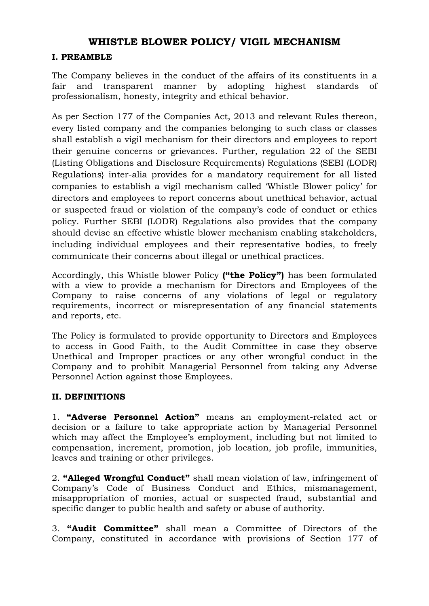### I. PREAMBLE

The Company believes in the conduct of the affairs of its constituents in a fair and transparent manner by adopting highest standards of professionalism, honesty, integrity and ethical behavior.

As per Section 177 of the Companies Act, 2013 and relevant Rules thereon, every listed company and the companies belonging to such class or classes shall establish a vigil mechanism for their directors and employees to report their genuine concerns or grievances. Further, regulation 22 of the SEBI (Listing Obligations and Disclosure Requirements) Regulations {SEBI (LODR) Regulations} inter-alia provides for a mandatory requirement for all listed companies to establish a vigil mechanism called 'Whistle Blower policy' for directors and employees to report concerns about unethical behavior, actual or suspected fraud or violation of the company's code of conduct or ethics policy. Further SEBI (LODR) Regulations also provides that the company should devise an effective whistle blower mechanism enabling stakeholders, including individual employees and their representative bodies, to freely communicate their concerns about illegal or unethical practices.

Accordingly, this Whistle blower Policy ("the Policy") has been formulated with a view to provide a mechanism for Directors and Employees of the Company to raise concerns of any violations of legal or regulatory requirements, incorrect or misrepresentation of any financial statements and reports, etc.

The Policy is formulated to provide opportunity to Directors and Employees to access in Good Faith, to the Audit Committee in case they observe Unethical and Improper practices or any other wrongful conduct in the Company and to prohibit Managerial Personnel from taking any Adverse Personnel Action against those Employees.

### II. DEFINITIONS

1. "Adverse Personnel Action" means an employment-related act or decision or a failure to take appropriate action by Managerial Personnel which may affect the Employee's employment, including but not limited to compensation, increment, promotion, job location, job profile, immunities, leaves and training or other privileges.

2. "Alleged Wrongful Conduct" shall mean violation of law, infringement of Company's Code of Business Conduct and Ethics, mismanagement, misappropriation of monies, actual or suspected fraud, substantial and specific danger to public health and safety or abuse of authority.

3. "Audit Committee" shall mean a Committee of Directors of the Company, constituted in accordance with provisions of Section 177 of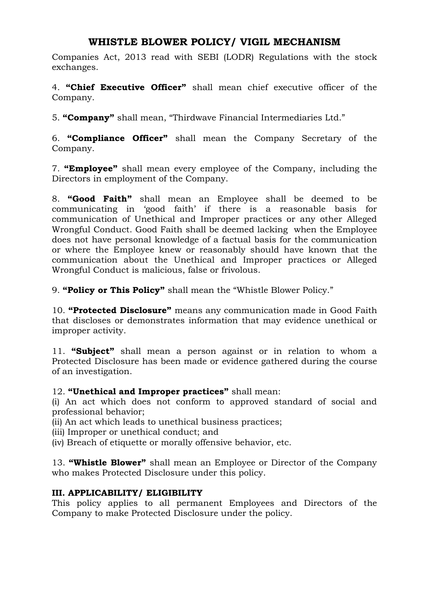Companies Act, 2013 read with SEBI (LODR) Regulations with the stock exchanges.

4. "Chief Executive Officer" shall mean chief executive officer of the Company.

5. "Company" shall mean, "Thirdwave Financial Intermediaries Ltd."

6. "Compliance Officer" shall mean the Company Secretary of the Company.

7. "Employee" shall mean every employee of the Company, including the Directors in employment of the Company.

8. "Good Faith" shall mean an Employee shall be deemed to be communicating in 'good faith' if there is a reasonable basis for communication of Unethical and Improper practices or any other Alleged Wrongful Conduct. Good Faith shall be deemed lacking when the Employee does not have personal knowledge of a factual basis for the communication or where the Employee knew or reasonably should have known that the communication about the Unethical and Improper practices or Alleged Wrongful Conduct is malicious, false or frivolous.

9. "Policy or This Policy" shall mean the "Whistle Blower Policy."

10. "Protected Disclosure" means any communication made in Good Faith that discloses or demonstrates information that may evidence unethical or improper activity.

11. "Subject" shall mean a person against or in relation to whom a Protected Disclosure has been made or evidence gathered during the course of an investigation.

12. "Unethical and Improper practices" shall mean:

(i) An act which does not conform to approved standard of social and professional behavior;

(ii) An act which leads to unethical business practices;

(iii) Improper or unethical conduct; and

(iv) Breach of etiquette or morally offensive behavior, etc.

13. "Whistle Blower" shall mean an Employee or Director of the Company who makes Protected Disclosure under this policy.

### III. APPLICABILITY/ ELIGIBILITY

This policy applies to all permanent Employees and Directors of the Company to make Protected Disclosure under the policy.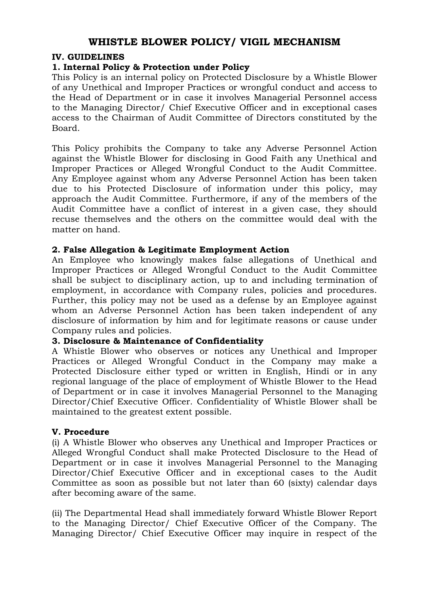#### IV. GUIDELINES

#### 1. Internal Policy & Protection under Policy

This Policy is an internal policy on Protected Disclosure by a Whistle Blower of any Unethical and Improper Practices or wrongful conduct and access to the Head of Department or in case it involves Managerial Personnel access to the Managing Director/ Chief Executive Officer and in exceptional cases access to the Chairman of Audit Committee of Directors constituted by the Board.

This Policy prohibits the Company to take any Adverse Personnel Action against the Whistle Blower for disclosing in Good Faith any Unethical and Improper Practices or Alleged Wrongful Conduct to the Audit Committee. Any Employee against whom any Adverse Personnel Action has been taken due to his Protected Disclosure of information under this policy, may approach the Audit Committee. Furthermore, if any of the members of the Audit Committee have a conflict of interest in a given case, they should recuse themselves and the others on the committee would deal with the matter on hand.

#### 2. False Allegation & Legitimate Employment Action

An Employee who knowingly makes false allegations of Unethical and Improper Practices or Alleged Wrongful Conduct to the Audit Committee shall be subject to disciplinary action, up to and including termination of employment, in accordance with Company rules, policies and procedures. Further, this policy may not be used as a defense by an Employee against whom an Adverse Personnel Action has been taken independent of any disclosure of information by him and for legitimate reasons or cause under Company rules and policies.

#### 3. Disclosure & Maintenance of Confidentiality

A Whistle Blower who observes or notices any Unethical and Improper Practices or Alleged Wrongful Conduct in the Company may make a Protected Disclosure either typed or written in English, Hindi or in any regional language of the place of employment of Whistle Blower to the Head of Department or in case it involves Managerial Personnel to the Managing Director/Chief Executive Officer. Confidentiality of Whistle Blower shall be maintained to the greatest extent possible.

#### V. Procedure

(i) A Whistle Blower who observes any Unethical and Improper Practices or Alleged Wrongful Conduct shall make Protected Disclosure to the Head of Department or in case it involves Managerial Personnel to the Managing Director/Chief Executive Officer and in exceptional cases to the Audit Committee as soon as possible but not later than 60 (sixty) calendar days after becoming aware of the same.

(ii) The Departmental Head shall immediately forward Whistle Blower Report to the Managing Director/ Chief Executive Officer of the Company. The Managing Director/ Chief Executive Officer may inquire in respect of the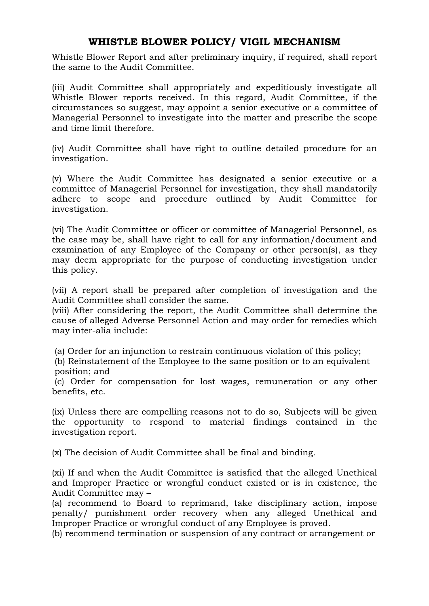Whistle Blower Report and after preliminary inquiry, if required, shall report the same to the Audit Committee.

(iii) Audit Committee shall appropriately and expeditiously investigate all Whistle Blower reports received. In this regard, Audit Committee, if the circumstances so suggest, may appoint a senior executive or a committee of Managerial Personnel to investigate into the matter and prescribe the scope and time limit therefore.

(iv) Audit Committee shall have right to outline detailed procedure for an investigation.

(v) Where the Audit Committee has designated a senior executive or a committee of Managerial Personnel for investigation, they shall mandatorily adhere to scope and procedure outlined by Audit Committee for investigation.

(vi) The Audit Committee or officer or committee of Managerial Personnel, as the case may be, shall have right to call for any information/document and examination of any Employee of the Company or other person(s), as they may deem appropriate for the purpose of conducting investigation under this policy.

(vii) A report shall be prepared after completion of investigation and the Audit Committee shall consider the same.

(viii) After considering the report, the Audit Committee shall determine the cause of alleged Adverse Personnel Action and may order for remedies which may inter-alia include:

(a) Order for an injunction to restrain continuous violation of this policy;

 (b) Reinstatement of the Employee to the same position or to an equivalent position; and

 (c) Order for compensation for lost wages, remuneration or any other benefits, etc.

(ix) Unless there are compelling reasons not to do so, Subjects will be given the opportunity to respond to material findings contained in the investigation report.

(x) The decision of Audit Committee shall be final and binding.

(xi) If and when the Audit Committee is satisfied that the alleged Unethical and Improper Practice or wrongful conduct existed or is in existence, the Audit Committee may –

(a) recommend to Board to reprimand, take disciplinary action, impose penalty/ punishment order recovery when any alleged Unethical and Improper Practice or wrongful conduct of any Employee is proved.

(b) recommend termination or suspension of any contract or arrangement or